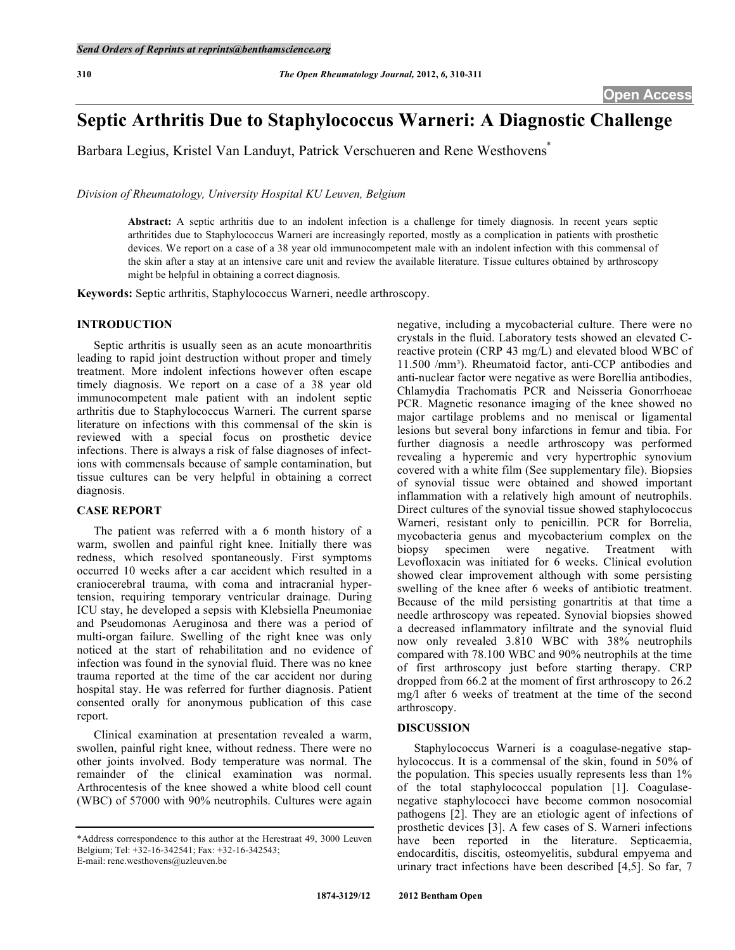# **Septic Arthritis Due to Staphylococcus Warneri: A Diagnostic Challenge**

Barbara Legius, Kristel Van Landuyt, Patrick Verschueren and Rene Westhovens<sup>\*</sup>

*Division of Rheumatology, University Hospital KU Leuven, Belgium* 

**Abstract:** A septic arthritis due to an indolent infection is a challenge for timely diagnosis. In recent years septic arthritides due to Staphylococcus Warneri are increasingly reported, mostly as a complication in patients with prosthetic devices. We report on a case of a 38 year old immunocompetent male with an indolent infection with this commensal of the skin after a stay at an intensive care unit and review the available literature. Tissue cultures obtained by arthroscopy might be helpful in obtaining a correct diagnosis.

**Keywords:** Septic arthritis, Staphylococcus Warneri, needle arthroscopy.

# **INTRODUCTION**

 Septic arthritis is usually seen as an acute monoarthritis leading to rapid joint destruction without proper and timely treatment. More indolent infections however often escape timely diagnosis. We report on a case of a 38 year old immunocompetent male patient with an indolent septic arthritis due to Staphylococcus Warneri. The current sparse literature on infections with this commensal of the skin is reviewed with a special focus on prosthetic device infections. There is always a risk of false diagnoses of infections with commensals because of sample contamination, but tissue cultures can be very helpful in obtaining a correct diagnosis.

# **CASE REPORT**

 The patient was referred with a 6 month history of a warm, swollen and painful right knee. Initially there was redness, which resolved spontaneously. First symptoms occurred 10 weeks after a car accident which resulted in a craniocerebral trauma, with coma and intracranial hypertension, requiring temporary ventricular drainage. During ICU stay, he developed a sepsis with Klebsiella Pneumoniae and Pseudomonas Aeruginosa and there was a period of multi-organ failure. Swelling of the right knee was only noticed at the start of rehabilitation and no evidence of infection was found in the synovial fluid. There was no knee trauma reported at the time of the car accident nor during hospital stay. He was referred for further diagnosis. Patient consented orally for anonymous publication of this case report.

 Clinical examination at presentation revealed a warm, swollen, painful right knee, without redness. There were no other joints involved. Body temperature was normal. The remainder of the clinical examination was normal. Arthrocentesis of the knee showed a white blood cell count (WBC) of 57000 with 90% neutrophils. Cultures were again

negative, including a mycobacterial culture. There were no crystals in the fluid. Laboratory tests showed an elevated Creactive protein (CRP 43 mg/L) and elevated blood WBC of 11.500 /mm). Rheumatoid factor, anti-CCP antibodies and anti-nuclear factor were negative as were Borellia antibodies, Chlamydia Trachomatis PCR and Neisseria Gonorrhoeae PCR. Magnetic resonance imaging of the knee showed no major cartilage problems and no meniscal or ligamental lesions but several bony infarctions in femur and tibia. For further diagnosis a needle arthroscopy was performed revealing a hyperemic and very hypertrophic synovium covered with a white film (See supplementary file). Biopsies of synovial tissue were obtained and showed important inflammation with a relatively high amount of neutrophils. Direct cultures of the synovial tissue showed staphylococcus Warneri, resistant only to penicillin. PCR for Borrelia, mycobacteria genus and mycobacterium complex on the biopsy specimen were negative. Treatment with Levofloxacin was initiated for 6 weeks. Clinical evolution showed clear improvement although with some persisting swelling of the knee after 6 weeks of antibiotic treatment. Because of the mild persisting gonartritis at that time a needle arthroscopy was repeated. Synovial biopsies showed a decreased inflammatory infiltrate and the synovial fluid now only revealed 3.810 WBC with 38% neutrophils compared with 78.100 WBC and 90% neutrophils at the time of first arthroscopy just before starting therapy. CRP dropped from 66.2 at the moment of first arthroscopy to 26.2 mg/l after 6 weeks of treatment at the time of the second arthroscopy.

#### **DISCUSSION**

 Staphylococcus Warneri is a coagulase-negative staphylococcus. It is a commensal of the skin, found in 50% of the population. This species usually represents less than 1% of the total staphylococcal population [1]. Coagulasenegative staphylococci have become common nosocomial pathogens [2]. They are an etiologic agent of infections of prosthetic devices [3]. A few cases of S. Warneri infections have been reported in the literature. Septicaemia, endocarditis, discitis, osteomyelitis, subdural empyema and urinary tract infections have been described [4,5]. So far, 7

<sup>\*</sup>Address correspondence to this author at the Herestraat 49, 3000 Leuven Belgium; Tel: +32-16-342541; Fax: +32-16-342543; E-mail: rene.westhovens@uzleuven.be